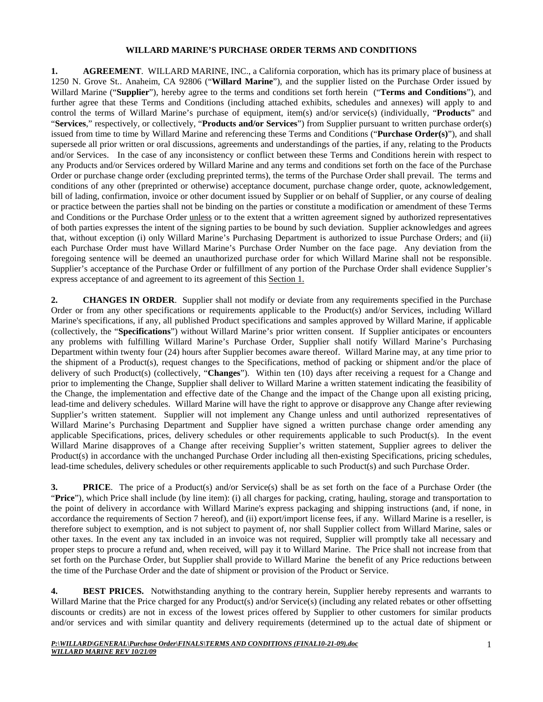#### **WILLARD MARINE'S PURCHASE ORDER TERMS AND CONDITIONS**

**1. AGREEMENT**. WILLARD MARINE, INC., a California corporation, which has its primary place of business at 1250 N. Grove St.. Anaheim, CA 92806 ("**Willard Marine**"), and the supplier listed on the Purchase Order issued by Willard Marine ("**Supplier**"), hereby agree to the terms and conditions set forth herein ("**Terms and Conditions**"), and further agree that these Terms and Conditions (including attached exhibits, schedules and annexes) will apply to and control the terms of Willard Marine's purchase of equipment, item(s) and/or service(s) (individually, "**Products**" and "**Services**," respectively, or collectively, "**Products and/or Services**") from Supplier pursuant to written purchase order(s) issued from time to time by Willard Marine and referencing these Terms and Conditions ("**Purchase Order(s)**"), and shall supersede all prior written or oral discussions, agreements and understandings of the parties, if any, relating to the Products and/or Services. In the case of any inconsistency or conflict between these Terms and Conditions herein with respect to any Products and/or Services ordered by Willard Marine and any terms and conditions set forth on the face of the Purchase Order or purchase change order (excluding preprinted terms), the terms of the Purchase Order shall prevail. The terms and conditions of any other (preprinted or otherwise) acceptance document, purchase change order, quote, acknowledgement, bill of lading, confirmation, invoice or other document issued by Supplier or on behalf of Supplier, or any course of dealing or practice between the parties shall not be binding on the parties or constitute a modification or amendment of these Terms and Conditions or the Purchase Order unless or to the extent that a written agreement signed by authorized representatives of both parties expresses the intent of the signing parties to be bound by such deviation. Supplier acknowledges and agrees that, without exception (i) only Willard Marine's Purchasing Department is authorized to issue Purchase Orders; and (ii) each Purchase Order must have Willard Marine's Purchase Order Number on the face page. Any deviation from the foregoing sentence will be deemed an unauthorized purchase order for which Willard Marine shall not be responsible. Supplier's acceptance of the Purchase Order or fulfillment of any portion of the Purchase Order shall evidence Supplier's express acceptance of and agreement to its agreement of this Section 1.

**2. CHANGES IN ORDER**. Supplier shall not modify or deviate from any requirements specified in the Purchase Order or from any other specifications or requirements applicable to the Product(s) and/or Services, including Willard Marine's specifications, if any, all published Product specifications and samples approved by Willard Marine, if applicable (collectively, the "**Specifications**") without Willard Marine's prior written consent. If Supplier anticipates or encounters any problems with fulfilling Willard Marine's Purchase Order, Supplier shall notify Willard Marine's Purchasing Department within twenty four (24) hours after Supplier becomes aware thereof. Willard Marine may, at any time prior to the shipment of a Product(s), request changes to the Specifications, method of packing or shipment and/or the place of delivery of such Product(s) (collectively, "**Changes**"). Within ten (10) days after receiving a request for a Change and prior to implementing the Change, Supplier shall deliver to Willard Marine a written statement indicating the feasibility of the Change, the implementation and effective date of the Change and the impact of the Change upon all existing pricing, lead-time and delivery schedules. Willard Marine will have the right to approve or disapprove any Change after reviewing Supplier's written statement. Supplier will not implement any Change unless and until authorized representatives of Willard Marine's Purchasing Department and Supplier have signed a written purchase change order amending any applicable Specifications, prices, delivery schedules or other requirements applicable to such Product(s). In the event Willard Marine disapproves of a Change after receiving Supplier's written statement, Supplier agrees to deliver the Product(s) in accordance with the unchanged Purchase Order including all then-existing Specifications, pricing schedules, lead-time schedules, delivery schedules or other requirements applicable to such Product(s) and such Purchase Order.

**3. PRICE**. The price of a Product(s) and/or Service(s) shall be as set forth on the face of a Purchase Order (the "**Price**"), which Price shall include (by line item): (i) all charges for packing, crating, hauling, storage and transportation to the point of delivery in accordance with Willard Marine's express packaging and shipping instructions (and, if none, in accordance the requirements of Section 7 hereof), and (ii) export/import license fees, if any. Willard Marine is a reseller, is therefore subject to exemption, and is not subject to payment of, nor shall Supplier collect from Willard Marine, sales or other taxes. In the event any tax included in an invoice was not required, Supplier will promptly take all necessary and proper steps to procure a refund and, when received, will pay it to Willard Marine. The Price shall not increase from that set forth on the Purchase Order, but Supplier shall provide to Willard Marine the benefit of any Price reductions between the time of the Purchase Order and the date of shipment or provision of the Product or Service.

**4. BEST PRICES.** Notwithstanding anything to the contrary herein, Supplier hereby represents and warrants to Willard Marine that the Price charged for any Product(s) and/or Service(s) (including any related rebates or other offsetting discounts or credits) are not in excess of the lowest prices offered by Supplier to other customers for similar products and/or services and with similar quantity and delivery requirements (determined up to the actual date of shipment or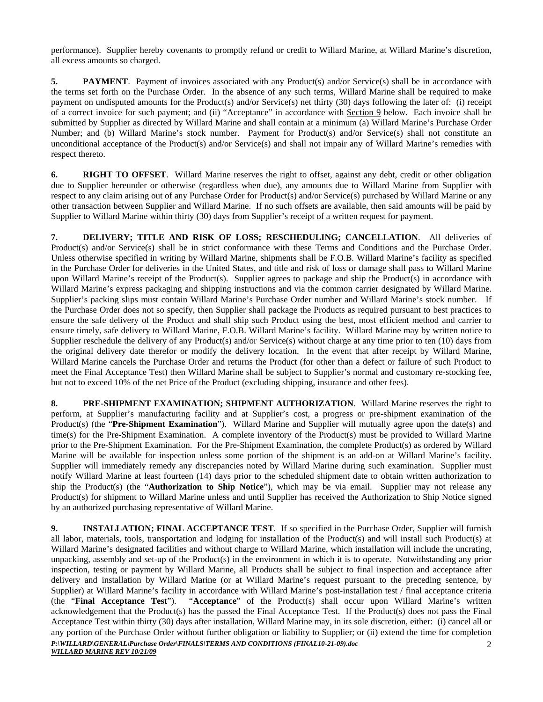performance). Supplier hereby covenants to promptly refund or credit to Willard Marine, at Willard Marine's discretion, all excess amounts so charged.

**5. PAYMENT**. Payment of invoices associated with any Product(s) and/or Service(s) shall be in accordance with the terms set forth on the Purchase Order. In the absence of any such terms, Willard Marine shall be required to make payment on undisputed amounts for the Product(s) and/or Service(s) net thirty (30) days following the later of: (i) receipt of a correct invoice for such payment; and (ii) "Acceptance" in accordance with Section 9 below. Each invoice shall be submitted by Supplier as directed by Willard Marine and shall contain at a minimum (a) Willard Marine's Purchase Order Number; and (b) Willard Marine's stock number. Payment for Product(s) and/or Service(s) shall not constitute an unconditional acceptance of the Product(s) and/or Service(s) and shall not impair any of Willard Marine's remedies with respect thereto.

**6. RIGHT TO OFFSET**. Willard Marine reserves the right to offset, against any debt, credit or other obligation due to Supplier hereunder or otherwise (regardless when due), any amounts due to Willard Marine from Supplier with respect to any claim arising out of any Purchase Order for Product(s) and/or Service(s) purchased by Willard Marine or any other transaction between Supplier and Willard Marine. If no such offsets are available, then said amounts will be paid by Supplier to Willard Marine within thirty (30) days from Supplier's receipt of a written request for payment.

**7. DELIVERY; TITLE AND RISK OF LOSS; RESCHEDULING; CANCELLATION**. All deliveries of Product(s) and/or Service(s) shall be in strict conformance with these Terms and Conditions and the Purchase Order. Unless otherwise specified in writing by Willard Marine, shipments shall be F.O.B. Willard Marine's facility as specified in the Purchase Order for deliveries in the United States, and title and risk of loss or damage shall pass to Willard Marine upon Willard Marine's receipt of the Product(s). Supplier agrees to package and ship the Product(s) in accordance with Willard Marine's express packaging and shipping instructions and via the common carrier designated by Willard Marine. Supplier's packing slips must contain Willard Marine's Purchase Order number and Willard Marine's stock number. If the Purchase Order does not so specify, then Supplier shall package the Products as required pursuant to best practices to ensure the safe delivery of the Product and shall ship such Product using the best, most efficient method and carrier to ensure timely, safe delivery to Willard Marine, F.O.B. Willard Marine's facility. Willard Marine may by written notice to Supplier reschedule the delivery of any Product(s) and/or Service(s) without charge at any time prior to ten (10) days from the original delivery date therefor or modify the delivery location. In the event that after receipt by Willard Marine, Willard Marine cancels the Purchase Order and returns the Product (for other than a defect or failure of such Product to meet the Final Acceptance Test) then Willard Marine shall be subject to Supplier's normal and customary re-stocking fee, but not to exceed 10% of the net Price of the Product (excluding shipping, insurance and other fees).

**8. PRE-SHIPMENT EXAMINATION; SHIPMENT AUTHORIZATION**. Willard Marine reserves the right to perform, at Supplier's manufacturing facility and at Supplier's cost, a progress or pre-shipment examination of the Product(s) (the "**Pre-Shipment Examination**"). Willard Marine and Supplier will mutually agree upon the date(s) and time(s) for the Pre-Shipment Examination. A complete inventory of the Product(s) must be provided to Willard Marine prior to the Pre-Shipment Examination. For the Pre-Shipment Examination, the complete Product(s) as ordered by Willard Marine will be available for inspection unless some portion of the shipment is an add-on at Willard Marine's facility. Supplier will immediately remedy any discrepancies noted by Willard Marine during such examination. Supplier must notify Willard Marine at least fourteen (14) days prior to the scheduled shipment date to obtain written authorization to ship the Product(s) (the "**Authorization to Ship Notice**"), which may be via email. Supplier may not release any Product(s) for shipment to Willard Marine unless and until Supplier has received the Authorization to Ship Notice signed by an authorized purchasing representative of Willard Marine.

*P:\WILLARD\GENERAL\Purchase Order\FINALS\TERMS AND CONDITIONS (FINAL10-21-09).doc* **9. INSTALLATION; FINAL ACCEPTANCE TEST.** If so specified in the Purchase Order, Supplier will furnish all labor, materials, tools, transportation and lodging for installation of the Product(s) and will install such Product(s) at Willard Marine's designated facilities and without charge to Willard Marine, which installation will include the uncrating, unpacking, assembly and set-up of the Product(s) in the environment in which it is to operate. Notwithstanding any prior inspection, testing or payment by Willard Marine, all Products shall be subject to final inspection and acceptance after delivery and installation by Willard Marine (or at Willard Marine's request pursuant to the preceding sentence, by Supplier) at Willard Marine's facility in accordance with Willard Marine's post-installation test / final acceptance criteria (the "**Final Acceptance Test**"). "**Acceptance**" of the Product(s) shall occur upon Willard Marine's written acknowledgement that the Product(s) has the passed the Final Acceptance Test. If the Product(s) does not pass the Final Acceptance Test within thirty (30) days after installation, Willard Marine may, in its sole discretion, either: (i) cancel all or any portion of the Purchase Order without further obligation or liability to Supplier; or (ii) extend the time for completion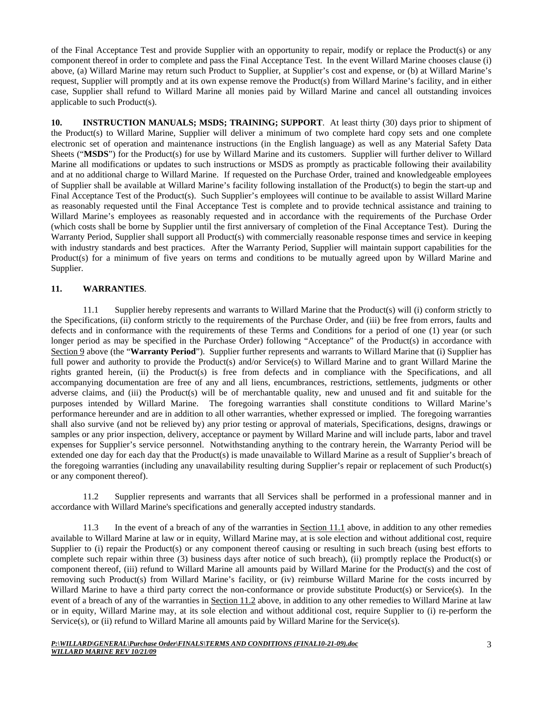of the Final Acceptance Test and provide Supplier with an opportunity to repair, modify or replace the Product(s) or any component thereof in order to complete and pass the Final Acceptance Test. In the event Willard Marine chooses clause (i) above, (a) Willard Marine may return such Product to Supplier, at Supplier's cost and expense, or (b) at Willard Marine's request, Supplier will promptly and at its own expense remove the Product(s) from Willard Marine's facility, and in either case, Supplier shall refund to Willard Marine all monies paid by Willard Marine and cancel all outstanding invoices applicable to such Product(s).

**10. INSTRUCTION MANUALS; MSDS; TRAINING; SUPPORT**. At least thirty (30) days prior to shipment of the Product(s) to Willard Marine, Supplier will deliver a minimum of two complete hard copy sets and one complete electronic set of operation and maintenance instructions (in the English language) as well as any Material Safety Data Sheets ("**MSDS**") for the Product(s) for use by Willard Marine and its customers. Supplier will further deliver to Willard Marine all modifications or updates to such instructions or MSDS as promptly as practicable following their availability and at no additional charge to Willard Marine. If requested on the Purchase Order, trained and knowledgeable employees of Supplier shall be available at Willard Marine's facility following installation of the Product(s) to begin the start-up and Final Acceptance Test of the Product(s). Such Supplier's employees will continue to be available to assist Willard Marine as reasonably requested until the Final Acceptance Test is complete and to provide technical assistance and training to Willard Marine's employees as reasonably requested and in accordance with the requirements of the Purchase Order (which costs shall be borne by Supplier until the first anniversary of completion of the Final Acceptance Test). During the Warranty Period, Supplier shall support all Product(s) with commercially reasonable response times and service in keeping with industry standards and best practices. After the Warranty Period, Supplier will maintain support capabilities for the Product(s) for a minimum of five years on terms and conditions to be mutually agreed upon by Willard Marine and Supplier.

### **11. WARRANTIES**.

11.1 Supplier hereby represents and warrants to Willard Marine that the Product(s) will (i) conform strictly to the Specifications, (ii) conform strictly to the requirements of the Purchase Order, and (iii) be free from errors, faults and defects and in conformance with the requirements of these Terms and Conditions for a period of one (1) year (or such longer period as may be specified in the Purchase Order) following "Acceptance" of the Product(s) in accordance with Section 9 above (the "Warranty Period"). Supplier further represents and warrants to Willard Marine that (i) Supplier has full power and authority to provide the Product(s) and/or Service(s) to Willard Marine and to grant Willard Marine the rights granted herein, (ii) the Product(s) is free from defects and in compliance with the Specifications, and all accompanying documentation are free of any and all liens, encumbrances, restrictions, settlements, judgments or other adverse claims, and (iii) the Product(s) will be of merchantable quality, new and unused and fit and suitable for the purposes intended by Willard Marine. The foregoing warranties shall constitute conditions to Willard Marine's performance hereunder and are in addition to all other warranties, whether expressed or implied. The foregoing warranties shall also survive (and not be relieved by) any prior testing or approval of materials, Specifications, designs, drawings or samples or any prior inspection, delivery, acceptance or payment by Willard Marine and will include parts, labor and travel expenses for Supplier's service personnel. Notwithstanding anything to the contrary herein, the Warranty Period will be extended one day for each day that the Product(s) is made unavailable to Willard Marine as a result of Supplier's breach of the foregoing warranties (including any unavailability resulting during Supplier's repair or replacement of such Product(s) or any component thereof).

11.2 Supplier represents and warrants that all Services shall be performed in a professional manner and in accordance with Willard Marine's specifications and generally accepted industry standards.

11.3 In the event of a breach of any of the warranties in Section 11.1 above, in addition to any other remedies available to Willard Marine at law or in equity, Willard Marine may, at is sole election and without additional cost, require Supplier to (i) repair the Product(s) or any component thereof causing or resulting in such breach (using best efforts to complete such repair within three (3) business days after notice of such breach), (ii) promptly replace the Product(s) or component thereof, (iii) refund to Willard Marine all amounts paid by Willard Marine for the Product(s) and the cost of removing such Product(s) from Willard Marine's facility, or (iv) reimburse Willard Marine for the costs incurred by Willard Marine to have a third party correct the non-conformance or provide substitute Product(s) or Service(s). In the event of a breach of any of the warranties in Section 11.2 above, in addition to any other remedies to Willard Marine at law or in equity, Willard Marine may, at its sole election and without additional cost, require Supplier to (i) re-perform the Service(s), or (ii) refund to Willard Marine all amounts paid by Willard Marine for the Service(s).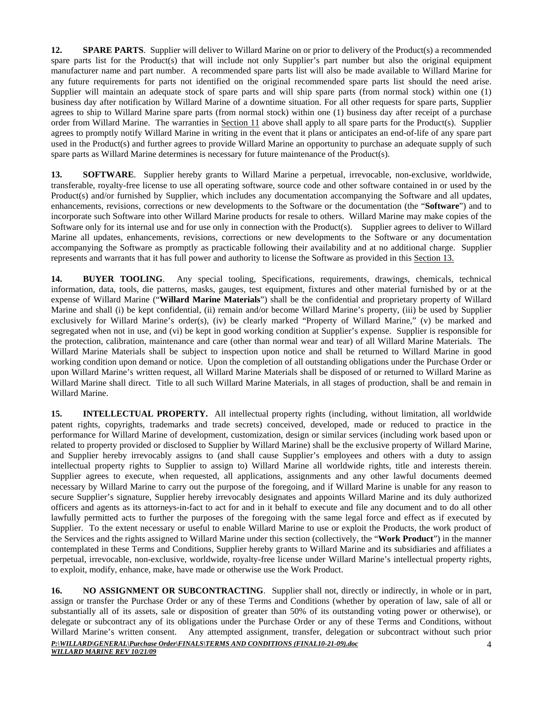**12. SPARE PARTS**. Supplier will deliver to Willard Marine on or prior to delivery of the Product(s) a recommended spare parts list for the Product(s) that will include not only Supplier's part number but also the original equipment manufacturer name and part number. A recommended spare parts list will also be made available to Willard Marine for any future requirements for parts not identified on the original recommended spare parts list should the need arise. Supplier will maintain an adequate stock of spare parts and will ship spare parts (from normal stock) within one (1) business day after notification by Willard Marine of a downtime situation. For all other requests for spare parts, Supplier agrees to ship to Willard Marine spare parts (from normal stock) within one (1) business day after receipt of a purchase order from Willard Marine. The warranties in Section 11 above shall apply to all spare parts for the Product(s). Supplier agrees to promptly notify Willard Marine in writing in the event that it plans or anticipates an end-of-life of any spare part used in the Product(s) and further agrees to provide Willard Marine an opportunity to purchase an adequate supply of such spare parts as Willard Marine determines is necessary for future maintenance of the Product(s).

13. **SOFTWARE**. Supplier hereby grants to Willard Marine a perpetual, irrevocable, non-exclusive, worldwide, transferable, royalty-free license to use all operating software, source code and other software contained in or used by the Product(s) and/or furnished by Supplier, which includes any documentation accompanying the Software and all updates, enhancements, revisions, corrections or new developments to the Software or the documentation (the "**Software**") and to incorporate such Software into other Willard Marine products for resale to others. Willard Marine may make copies of the Software only for its internal use and for use only in connection with the Product(s). Supplier agrees to deliver to Willard Marine all updates, enhancements, revisions, corrections or new developments to the Software or any documentation accompanying the Software as promptly as practicable following their availability and at no additional charge. Supplier represents and warrants that it has full power and authority to license the Software as provided in this Section 13.

**14. BUYER TOOLING**. Any special tooling, Specifications, requirements, drawings, chemicals, technical information, data, tools, die patterns, masks, gauges, test equipment, fixtures and other material furnished by or at the expense of Willard Marine ("**Willard Marine Materials**") shall be the confidential and proprietary property of Willard Marine and shall (i) be kept confidential, (ii) remain and/or become Willard Marine's property, (iii) be used by Supplier exclusively for Willard Marine's order(s), (iv) be clearly marked "Property of Willard Marine," (v) be marked and segregated when not in use, and (vi) be kept in good working condition at Supplier's expense. Supplier is responsible for the protection, calibration, maintenance and care (other than normal wear and tear) of all Willard Marine Materials. The Willard Marine Materials shall be subject to inspection upon notice and shall be returned to Willard Marine in good working condition upon demand or notice. Upon the completion of all outstanding obligations under the Purchase Order or upon Willard Marine's written request, all Willard Marine Materials shall be disposed of or returned to Willard Marine as Willard Marine shall direct. Title to all such Willard Marine Materials, in all stages of production, shall be and remain in Willard Marine.

**15. INTELLECTUAL PROPERTY.** All intellectual property rights (including, without limitation, all worldwide patent rights, copyrights, trademarks and trade secrets) conceived, developed, made or reduced to practice in the performance for Willard Marine of development, customization, design or similar services (including work based upon or related to property provided or disclosed to Supplier by Willard Marine) shall be the exclusive property of Willard Marine, and Supplier hereby irrevocably assigns to (and shall cause Supplier's employees and others with a duty to assign intellectual property rights to Supplier to assign to) Willard Marine all worldwide rights, title and interests therein. Supplier agrees to execute, when requested, all applications, assignments and any other lawful documents deemed necessary by Willard Marine to carry out the purpose of the foregoing, and if Willard Marine is unable for any reason to secure Supplier's signature, Supplier hereby irrevocably designates and appoints Willard Marine and its duly authorized officers and agents as its attorneys-in-fact to act for and in it behalf to execute and file any document and to do all other lawfully permitted acts to further the purposes of the foregoing with the same legal force and effect as if executed by Supplier. To the extent necessary or useful to enable Willard Marine to use or exploit the Products, the work product of the Services and the rights assigned to Willard Marine under this section (collectively, the "**Work Product**") in the manner contemplated in these Terms and Conditions, Supplier hereby grants to Willard Marine and its subsidiaries and affiliates a perpetual, irrevocable, non-exclusive, worldwide, royalty-free license under Willard Marine's intellectual property rights, to exploit, modify, enhance, make, have made or otherwise use the Work Product.

*P:\WILLARD\GENERAL\Purchase Order\FINALS\TERMS AND CONDITIONS (FINAL10-21-09).doc* **16.** NO ASSIGNMENT OR SUBCONTRACTING. Supplier shall not, directly or indirectly, in whole or in part, assign or transfer the Purchase Order or any of these Terms and Conditions (whether by operation of law, sale of all or substantially all of its assets, sale or disposition of greater than 50% of its outstanding voting power or otherwise), or delegate or subcontract any of its obligations under the Purchase Order or any of these Terms and Conditions, without Willard Marine's written consent. Any attempted assignment, transfer, delegation or subcontract without such prior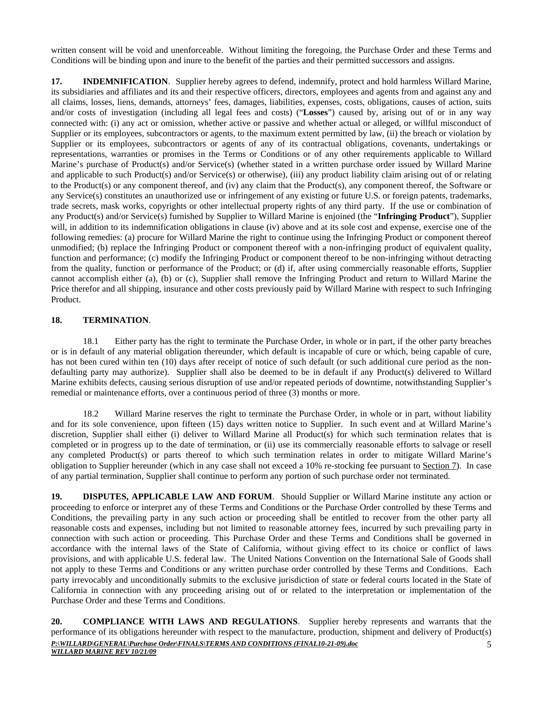written consent will be void and unenforceable. Without limiting the foregoing, the Purchase Order and these Terms and Conditions will be binding upon and inure to the benefit of the parties and their permitted successors and assigns.

**17. INDEMNIFICATION**. Supplier hereby agrees to defend, indemnify, protect and hold harmless Willard Marine, its subsidiaries and affiliates and its and their respective officers, directors, employees and agents from and against any and all claims, losses, liens, demands, attorneys' fees, damages, liabilities, expenses, costs, obligations, causes of action, suits and/or costs of investigation (including all legal fees and costs) ("**Losses**") caused by, arising out of or in any way connected with: (i) any act or omission, whether active or passive and whether actual or alleged, or willful misconduct of Supplier or its employees, subcontractors or agents, to the maximum extent permitted by law, (ii) the breach or violation by Supplier or its employees, subcontractors or agents of any of its contractual obligations, covenants, undertakings or representations, warranties or promises in the Terms or Conditions or of any other requirements applicable to Willard Marine's purchase of Product(s) and/or Service(s) (whether stated in a written purchase order issued by Willard Marine and applicable to such Product(s) and/or Service(s) or otherwise), (iii) any product liability claim arising out of or relating to the Product(s) or any component thereof, and (iv) any claim that the Product(s), any component thereof, the Software or any Service(s) constitutes an unauthorized use or infringement of any existing or future U.S. or foreign patents, trademarks, trade secrets, mask works, copyrights or other intellectual property rights of any third party. If the use or combination of any Product(s) and/or Service(s) furnished by Supplier to Willard Marine is enjoined (the "**Infringing Product**"), Supplier will, in addition to its indemnification obligations in clause (iv) above and at its sole cost and expense, exercise one of the following remedies: (a) procure for Willard Marine the right to continue using the Infringing Product or component thereof unmodified; (b) replace the Infringing Product or component thereof with a non-infringing product of equivalent quality, function and performance; (c) modify the Infringing Product or component thereof to be non-infringing without detracting from the quality, function or performance of the Product; or (d) if, after using commercially reasonable efforts, Supplier cannot accomplish either (a), (b) or (c), Supplier shall remove the Infringing Product and return to Willard Marine the Price therefor and all shipping, insurance and other costs previously paid by Willard Marine with respect to such Infringing Product.

### **18. TERMINATION**.

18.1 Either party has the right to terminate the Purchase Order, in whole or in part, if the other party breaches or is in default of any material obligation thereunder, which default is incapable of cure or which, being capable of cure, has not been cured within ten (10) days after receipt of notice of such default (or such additional cure period as the nondefaulting party may authorize). Supplier shall also be deemed to be in default if any Product(s) delivered to Willard Marine exhibits defects, causing serious disruption of use and/or repeated periods of downtime, notwithstanding Supplier's remedial or maintenance efforts, over a continuous period of three (3) months or more.

18.2 Willard Marine reserves the right to terminate the Purchase Order, in whole or in part, without liability and for its sole convenience, upon fifteen (15) days written notice to Supplier. In such event and at Willard Marine's discretion, Supplier shall either (i) deliver to Willard Marine all Product(s) for which such termination relates that is completed or in progress up to the date of termination, or (ii) use its commercially reasonable efforts to salvage or resell any completed Product(s) or parts thereof to which such termination relates in order to mitigate Willard Marine's obligation to Supplier hereunder (which in any case shall not exceed a 10% re-stocking fee pursuant to Section 7). In case of any partial termination, Supplier shall continue to perform any portion of such purchase order not terminated.

**19. DISPUTES, APPLICABLE LAW AND FORUM**. Should Supplier or Willard Marine institute any action or proceeding to enforce or interpret any of these Terms and Conditions or the Purchase Order controlled by these Terms and Conditions, the prevailing party in any such action or proceeding shall be entitled to recover from the other party all reasonable costs and expenses, including but not limited to reasonable attorney fees, incurred by such prevailing party in connection with such action or proceeding. This Purchase Order and these Terms and Conditions shall be governed in accordance with the internal laws of the State of California, without giving effect to its choice or conflict of laws provisions, and with applicable U.S. federal law. The United Nations Convention on the International Sale of Goods shall not apply to these Terms and Conditions or any written purchase order controlled by these Terms and Conditions. Each party irrevocably and unconditionally submits to the exclusive jurisdiction of state or federal courts located in the State of California in connection with any proceeding arising out of or related to the interpretation or implementation of the Purchase Order and these Terms and Conditions.

*P:\WILLARD\GENERAL\Purchase Order\FINALS\TERMS AND CONDITIONS (FINAL10-21-09).doc WILLARD MARINE REV 10/21/09* 5 **20. COMPLIANCE WITH LAWS AND REGULATIONS**. Supplier hereby represents and warrants that the performance of its obligations hereunder with respect to the manufacture, production, shipment and delivery of Product(s)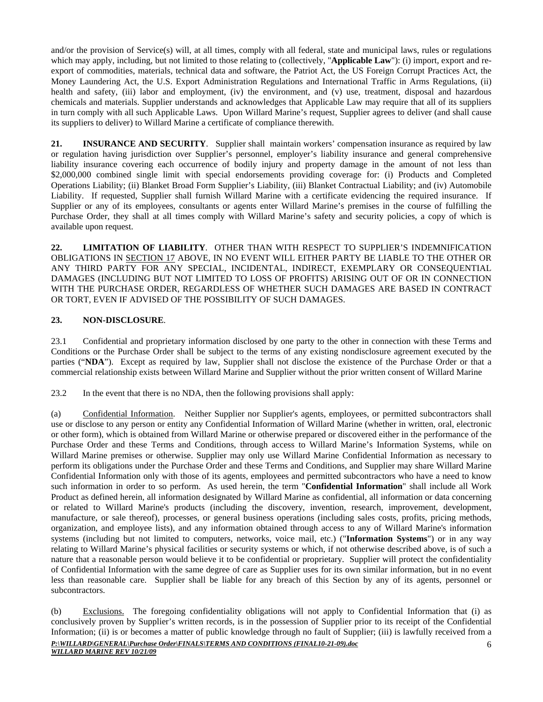and/or the provision of Service(s) will, at all times, comply with all federal, state and municipal laws, rules or regulations which may apply, including, but not limited to those relating to (collectively, "**Applicable Law**"): (i) import, export and reexport of commodities, materials, technical data and software, the Patriot Act, the US Foreign Corrupt Practices Act, the Money Laundering Act, the U.S. Export Administration Regulations and International Traffic in Arms Regulations, (ii) health and safety, (iii) labor and employment, (iv) the environment, and (v) use, treatment, disposal and hazardous chemicals and materials. Supplier understands and acknowledges that Applicable Law may require that all of its suppliers in turn comply with all such Applicable Laws. Upon Willard Marine's request, Supplier agrees to deliver (and shall cause its suppliers to deliver) to Willard Marine a certificate of compliance therewith.

**21. INSURANCE AND SECURITY**. Supplier shall maintain workers' compensation insurance as required by law or regulation having jurisdiction over Supplier's personnel, employer's liability insurance and general comprehensive liability insurance covering each occurrence of bodily injury and property damage in the amount of not less than \$2,000,000 combined single limit with special endorsements providing coverage for: (i) Products and Completed Operations Liability; (ii) Blanket Broad Form Supplier's Liability, (iii) Blanket Contractual Liability; and (iv) Automobile Liability. If requested, Supplier shall furnish Willard Marine with a certificate evidencing the required insurance. If Supplier or any of its employees, consultants or agents enter Willard Marine's premises in the course of fulfilling the Purchase Order, they shall at all times comply with Willard Marine's safety and security policies, a copy of which is available upon request.

**22. LIMITATION OF LIABILITY**. OTHER THAN WITH RESPECT TO SUPPLIER'S INDEMNIFICATION OBLIGATIONS IN SECTION 17 ABOVE, IN NO EVENT WILL EITHER PARTY BE LIABLE TO THE OTHER OR ANY THIRD PARTY FOR ANY SPECIAL, INCIDENTAL, INDIRECT, EXEMPLARY OR CONSEQUENTIAL DAMAGES (INCLUDING BUT NOT LIMITED TO LOSS OF PROFITS) ARISING OUT OF OR IN CONNECTION WITH THE PURCHASE ORDER, REGARDLESS OF WHETHER SUCH DAMAGES ARE BASED IN CONTRACT OR TORT, EVEN IF ADVISED OF THE POSSIBILITY OF SUCH DAMAGES.

# **23. NON-DISCLOSURE**.

23.1 Confidential and proprietary information disclosed by one party to the other in connection with these Terms and Conditions or the Purchase Order shall be subject to the terms of any existing nondisclosure agreement executed by the parties ("**NDA**"). Except as required by law, Supplier shall not disclose the existence of the Purchase Order or that a commercial relationship exists between Willard Marine and Supplier without the prior written consent of Willard Marine

23.2 In the event that there is no NDA, then the following provisions shall apply:

(a) Confidential Information. Neither Supplier nor Supplier's agents, employees, or permitted subcontractors shall use or disclose to any person or entity any Confidential Information of Willard Marine (whether in written, oral, electronic or other form), which is obtained from Willard Marine or otherwise prepared or discovered either in the performance of the Purchase Order and these Terms and Conditions, through access to Willard Marine's Information Systems, while on Willard Marine premises or otherwise. Supplier may only use Willard Marine Confidential Information as necessary to perform its obligations under the Purchase Order and these Terms and Conditions, and Supplier may share Willard Marine Confidential Information only with those of its agents, employees and permitted subcontractors who have a need to know such information in order to so perform. As used herein, the term "**Confidential Information**" shall include all Work Product as defined herein, all information designated by Willard Marine as confidential, all information or data concerning or related to Willard Marine's products (including the discovery, invention, research, improvement, development, manufacture, or sale thereof), processes, or general business operations (including sales costs, profits, pricing methods, organization, and employee lists), and any information obtained through access to any of Willard Marine's information systems (including but not limited to computers, networks, voice mail, etc.) ("**Information Systems**") or in any way relating to Willard Marine's physical facilities or security systems or which, if not otherwise described above, is of such a nature that a reasonable person would believe it to be confidential or proprietary. Supplier will protect the confidentiality of Confidential Information with the same degree of care as Supplier uses for its own similar information, but in no event less than reasonable care. Supplier shall be liable for any breach of this Section by any of its agents, personnel or subcontractors.

*P:\WILLARD\GENERAL\Purchase Order\FINALS\TERMS AND CONDITIONS (FINAL10-21-09).doc* 6 (b) Exclusions. The foregoing confidentiality obligations will not apply to Confidential Information that (i) as conclusively proven by Supplier's written records, is in the possession of Supplier prior to its receipt of the Confidential Information; (ii) is or becomes a matter of public knowledge through no fault of Supplier; (iii) is lawfully received from a

*WILLARD MARINE REV 10/21/09*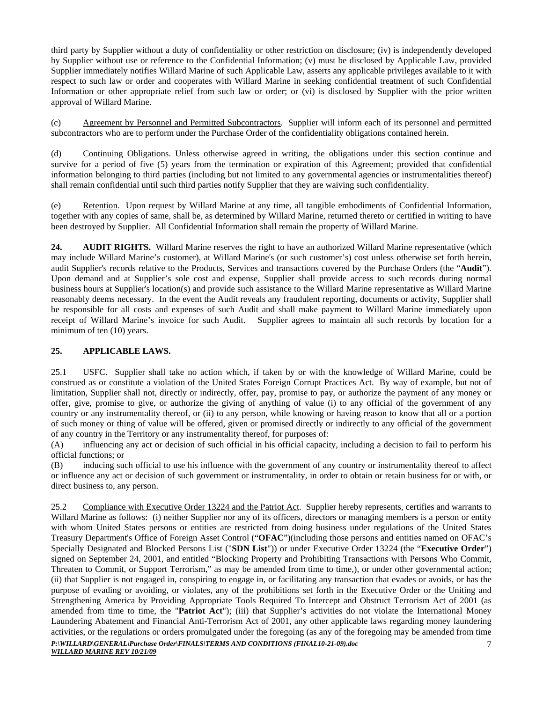third party by Supplier without a duty of confidentiality or other restriction on disclosure; (iv) is independently developed by Supplier without use or reference to the Confidential Information; (v) must be disclosed by Applicable Law, provided Supplier immediately notifies Willard Marine of such Applicable Law, asserts any applicable privileges available to it with respect to such law or order and cooperates with Willard Marine in seeking confidential treatment of such Confidential Information or other appropriate relief from such law or order; or (vi) is disclosed by Supplier with the prior written approval of Willard Marine.

(c) Agreement by Personnel and Permitted Subcontractors. Supplier will inform each of its personnel and permitted subcontractors who are to perform under the Purchase Order of the confidentiality obligations contained herein.

(d) Continuing Obligations. Unless otherwise agreed in writing, the obligations under this section continue and survive for a period of five (5) years from the termination or expiration of this Agreement; provided that confidential information belonging to third parties (including but not limited to any governmental agencies or instrumentalities thereof) shall remain confidential until such third parties notify Supplier that they are waiving such confidentiality.

(e) Retention. Upon request by Willard Marine at any time, all tangible embodiments of Confidential Information, together with any copies of same, shall be, as determined by Willard Marine, returned thereto or certified in writing to have been destroyed by Supplier. All Confidential Information shall remain the property of Willard Marine.

**24.** AUDIT RIGHTS. Willard Marine reserves the right to have an authorized Willard Marine representative (which may include Willard Marine's customer), at Willard Marine's (or such customer's) cost unless otherwise set forth herein, audit Supplier's records relative to the Products, Services and transactions covered by the Purchase Orders (the "**Audit**"). Upon demand and at Supplier's sole cost and expense, Supplier shall provide access to such records during normal business hours at Supplier's location(s) and provide such assistance to the Willard Marine representative as Willard Marine reasonably deems necessary. In the event the Audit reveals any fraudulent reporting, documents or activity, Supplier shall be responsible for all costs and expenses of such Audit and shall make payment to Willard Marine immediately upon receipt of Willard Marine's invoice for such Audit. Supplier agrees to maintain all such records by location for a minimum of ten (10) years.

## **25. APPLICABLE LAWS.**

25.1 USFC. Supplier shall take no action which, if taken by or with the knowledge of Willard Marine, could be construed as or constitute a violation of the United States Foreign Corrupt Practices Act. By way of example, but not of limitation, Supplier shall not, directly or indirectly, offer, pay, promise to pay, or authorize the payment of any money or offer, give, promise to give, or authorize the giving of anything of value (i) to any official of the government of any country or any instrumentality thereof, or (ii) to any person, while knowing or having reason to know that all or a portion of such money or thing of value will be offered, given or promised directly or indirectly to any official of the government of any country in the Territory or any instrumentality thereof, for purposes of:

(A) influencing any act or decision of such official in his official capacity, including a decision to fail to perform his official functions; or

(B) inducing such official to use his influence with the government of any country or instrumentality thereof to affect or influence any act or decision of such government or instrumentality, in order to obtain or retain business for or with, or direct business to, any person.

25.2 Compliance with Executive Order 13224 and the Patriot Act. Supplier hereby represents, certifies and warrants to Willard Marine as follows: (i) neither Supplier nor any of its officers, directors or managing members is a person or entity with whom United States persons or entities are restricted from doing business under regulations of the United States Treasury Department's Office of Foreign Asset Control ("**OFAC**")(including those persons and entities named on OFAC's Specially Designated and Blocked Persons List ("**SDN List**")) or under Executive Order 13224 (the "**Executive Order**") signed on September 24, 2001, and entitled "Blocking Property and Prohibiting Transactions with Persons Who Commit, Threaten to Commit, or Support Terrorism," as may be amended from time to time,), or under other governmental action; (ii) that Supplier is not engaged in, conspiring to engage in, or facilitating any transaction that evades or avoids, or has the purpose of evading or avoiding, or violates, any of the prohibitions set forth in the Executive Order or the Uniting and Strengthening America by Providing Appropriate Tools Required To Intercept and Obstruct Terrorism Act of 2001 (as amended from time to time, the "**Patriot Act**"); (iii) that Supplier's activities do not violate the International Money Laundering Abatement and Financial Anti-Terrorism Act of 2001, any other applicable laws regarding money laundering activities, or the regulations or orders promulgated under the foregoing (as any of the foregoing may be amended from time